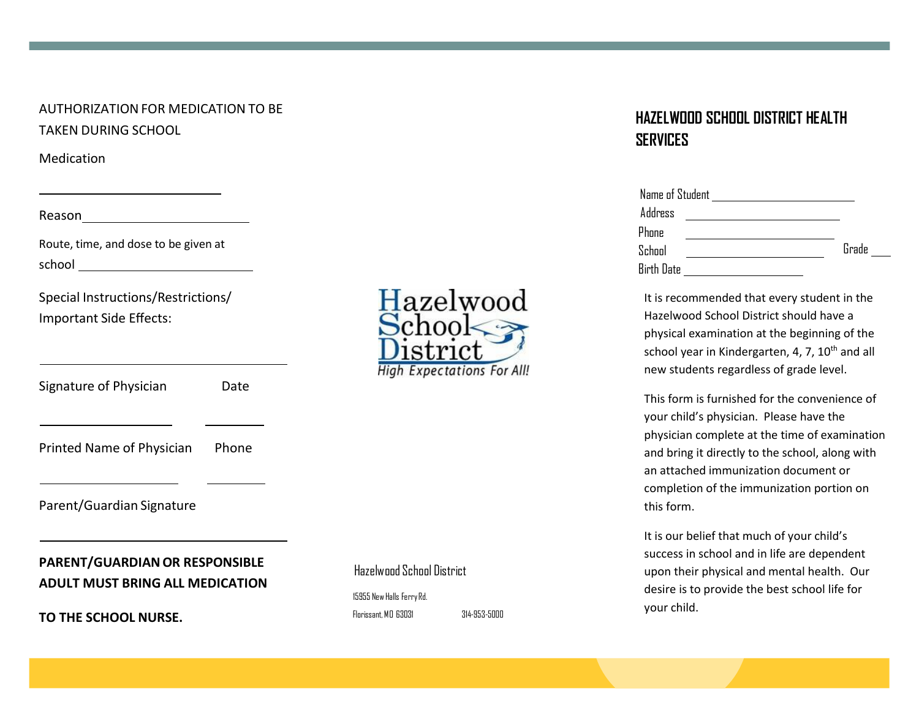## AUTHORIZATIONFOR MEDICATION TO BE TAKEN DURING SCHOOL

**Medication** 

Reason Address and Address and Address and Address and Address and Address and Address and Address and Address in Address and Address and Address and Address and Address and Address and Address and Address and Address and

Route, time, and dose to be given at school

| Special Instructions/Restrictions/ |  |
|------------------------------------|--|
| <b>Important Side Effects:</b>     |  |

| Signature of Physician | Date |
|------------------------|------|
|------------------------|------|

Printed Name of Physician Phone

Parent/Guardian Signature

## **PARENT/GUARDIANOR RESPONSIBLE ADULT MUST BRING ALL MEDICATION**

**TO THE SCHOOL NURSE.**



### Hazelwood School District

15955 New Halls FerryRd. Florissant, MO 63031 314-953-5000

# **HAZELWOOD SCHOOL DISTRICT HEALTH SERVICES**

| Name of Student |       |
|-----------------|-------|
| Address         |       |
| Phone           |       |
| School          | Grade |
| Birth Date      |       |

It is recommended that every student in the Hazelwood School District should have a physical examination at the beginning of the school year in Kindergarten, 4, 7, 10<sup>th</sup> and all new students regardless of grade level.

This form is furnished for the convenience of your child's physician. Please have the physician complete at the time of examination and bring it directly to the school, along with an attached immunization document or completion of the immunization portion on this form.

It is our belief that much of your child's success in school and in life are dependent upon their physical and mental health. Our desire is to provide the best school life for your child.